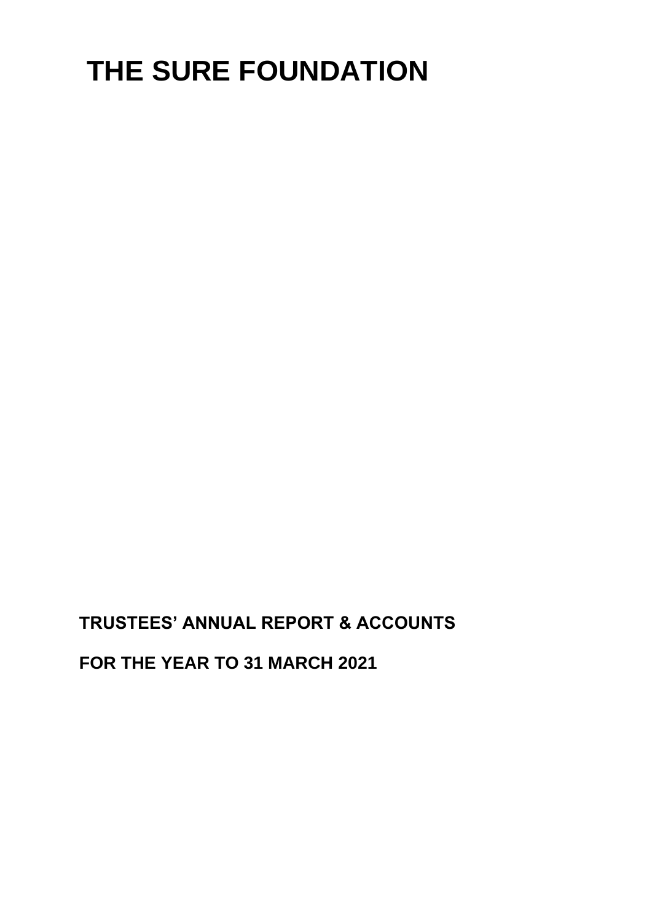# **THE SURE FOUNDATION**

**TRUSTEES' ANNUAL REPORT & ACCOUNTS**

**FOR THE YEAR TO 31 MARCH 2021**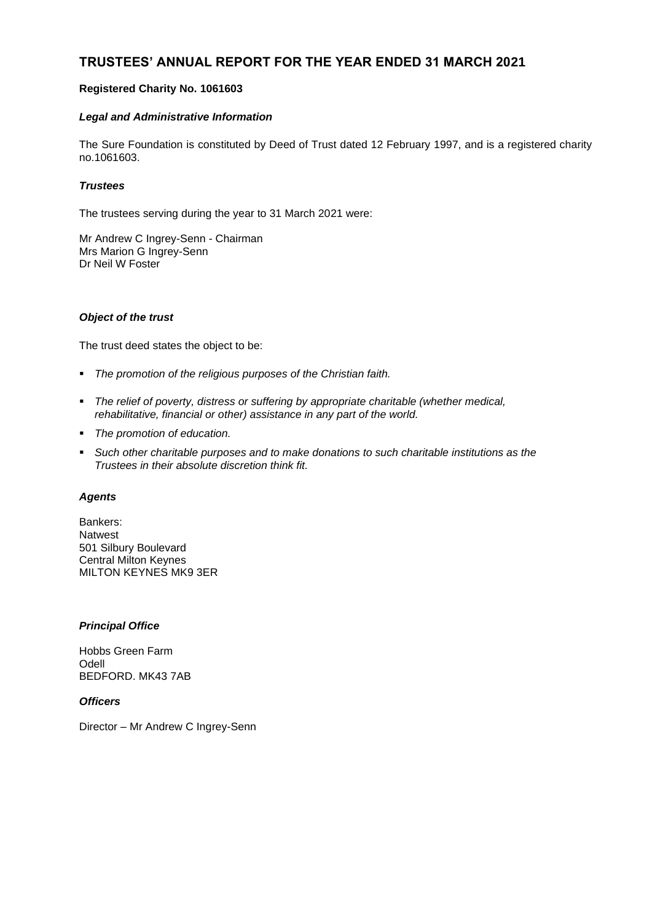# **TRUSTEES' ANNUAL REPORT FOR THE YEAR ENDED 31 MARCH 2021**

## **Registered Charity No. 1061603**

## *Legal and Administrative Information*

The Sure Foundation is constituted by Deed of Trust dated 12 February 1997, and is a registered charity no.1061603.

## *Trustees*

The trustees serving during the year to 31 March 2021 were:

Mr Andrew C Ingrey-Senn - Chairman Mrs Marion G Ingrey-Senn Dr Neil W Foster

#### *Object of the trust*

The trust deed states the object to be:

- *The promotion of the religious purposes of the Christian faith.*
- *The relief of poverty, distress or suffering by appropriate charitable (whether medical, rehabilitative, financial or other) assistance in any part of the world.*
- *The promotion of education.*
- *Such other charitable purposes and to make donations to such charitable institutions as the Trustees in their absolute discretion think fit.*

#### *Agents*

Bankers: Natwest 501 Silbury Boulevard Central Milton Keynes MILTON KEYNES MK9 3ER

## *Principal Office*

Hobbs Green Farm Odell BEDFORD. MK43 7AB

*Officers*

Director – Mr Andrew C Ingrey-Senn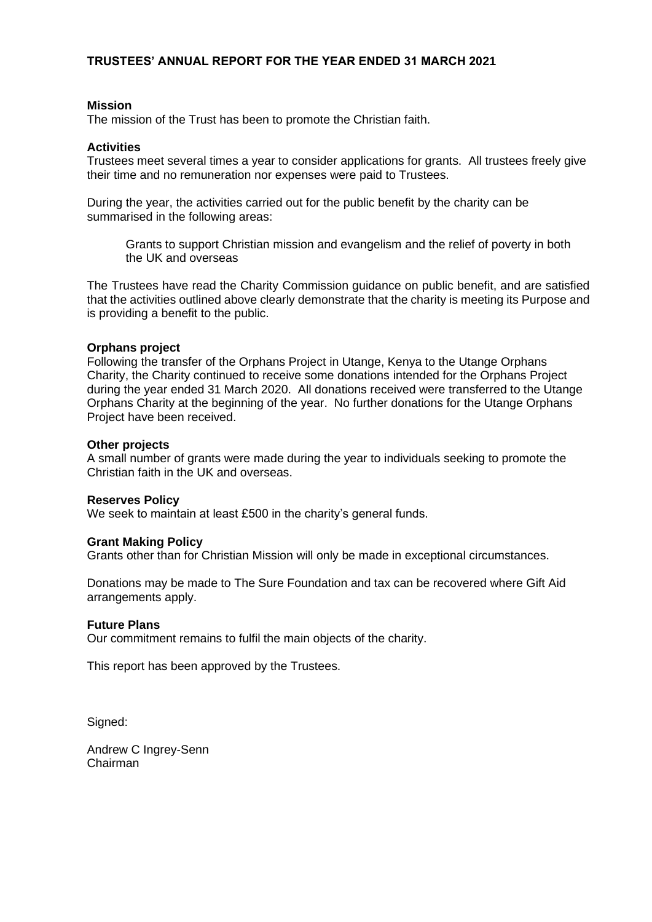## **TRUSTEES' ANNUAL REPORT FOR THE YEAR ENDED 31 MARCH 2021**

## **Mission**

The mission of the Trust has been to promote the Christian faith.

## **Activities**

Trustees meet several times a year to consider applications for grants. All trustees freely give their time and no remuneration nor expenses were paid to Trustees.

During the year, the activities carried out for the public benefit by the charity can be summarised in the following areas:

Grants to support Christian mission and evangelism and the relief of poverty in both the UK and overseas

The Trustees have read the Charity Commission guidance on public benefit, and are satisfied that the activities outlined above clearly demonstrate that the charity is meeting its Purpose and is providing a benefit to the public.

## **Orphans project**

Following the transfer of the Orphans Project in Utange, Kenya to the Utange Orphans Charity, the Charity continued to receive some donations intended for the Orphans Project during the year ended 31 March 2020. All donations received were transferred to the Utange Orphans Charity at the beginning of the year. No further donations for the Utange Orphans Project have been received.

## **Other projects**

A small number of grants were made during the year to individuals seeking to promote the Christian faith in the UK and overseas.

## **Reserves Policy**

We seek to maintain at least £500 in the charity's general funds.

## **Grant Making Policy**

Grants other than for Christian Mission will only be made in exceptional circumstances.

Donations may be made to The Sure Foundation and tax can be recovered where Gift Aid arrangements apply.

## **Future Plans**

Our commitment remains to fulfil the main objects of the charity.

This report has been approved by the Trustees.

Signed:

Andrew C Ingrey-Senn Chairman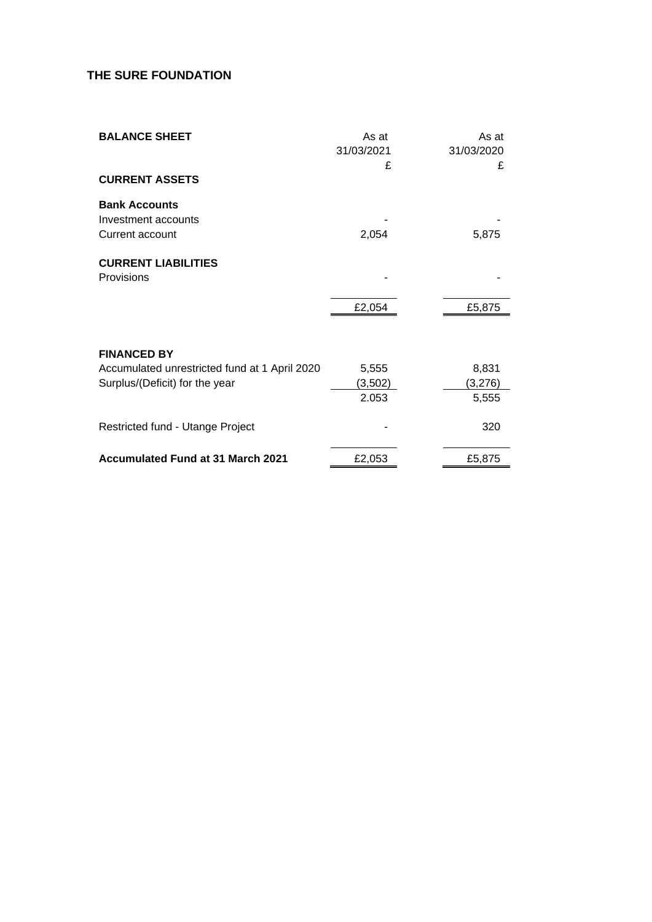# **THE SURE FOUNDATION**

| <b>BALANCE SHEET</b>                                           | As at<br>31/03/2021<br>£ | As at<br>31/03/2020<br>£ |
|----------------------------------------------------------------|--------------------------|--------------------------|
| <b>CURRENT ASSETS</b>                                          |                          |                          |
| <b>Bank Accounts</b><br>Investment accounts<br>Current account | 2,054                    | 5,875                    |
| <b>CURRENT LIABILITIES</b><br>Provisions                       |                          |                          |
|                                                                | £2,054                   | £5,875                   |
| <b>FINANCED BY</b>                                             |                          |                          |
| Accumulated unrestricted fund at 1 April 2020                  | 5,555                    | 8,831                    |
| Surplus/(Deficit) for the year                                 | (3,502)                  | (3,276)                  |
|                                                                | 2.053                    | 5,555                    |
| Restricted fund - Utange Project                               |                          | 320                      |
| <b>Accumulated Fund at 31 March 2021</b>                       | £2,053                   | £5,875                   |